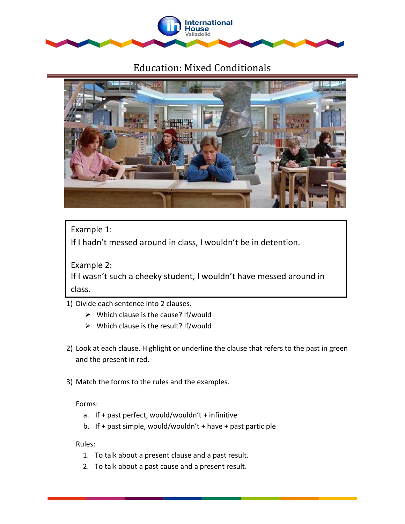

# Education: Mixed Conditionals



Example 1:

If I hadn't messed around in class, I wouldn't be in detention.

Example 2: If I wasn't such a cheeky student, I wouldn't have messed around in class.

- 1) Divide each sentence into 2 clauses.
	- $\triangleright$  Which clause is the cause? If/would
	- $\triangleright$  Which clause is the result? If/would
- 2) Look at each clause. Highlight or underline the clause that refers to the past in green and the present in red.
- 3) Match the forms to the rules and the examples.

Forms:

- a. If + past perfect, would/wouldn't + infinitive
- b. If + past simple, would/wouldn't + have + past participle

Rules:

- 1. To talk about a present clause and a past result.
- 2. To talk about a past cause and a present result.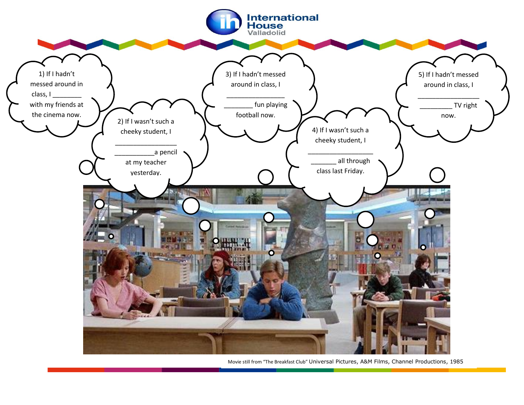

Movie still from "The Breakfast Club" [Universal Pictures,](http://www.imdb.com/company/co0005073?ref_=ttco_co_1) [A&M Films,](http://www.imdb.com/company/co0062005?ref_=ttco_co_2) [Channel Productions,](http://www.imdb.com/company/co0079774?ref_=ttco_co_3) 1985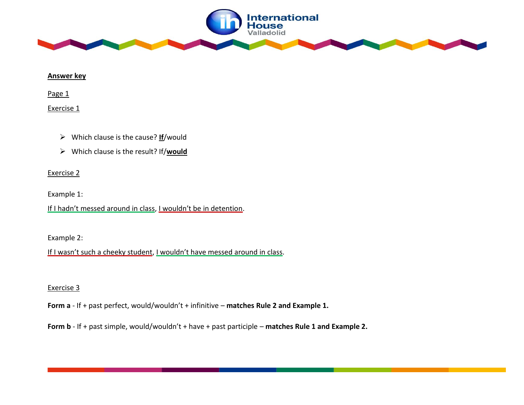

## **Answer key**

Page 1

Exercise 1

- Which clause is the cause? **If**/would
- Which clause is the result? If/**would**

## Exercise 2

Example 1:

If I hadn't messed around in class, I wouldn't be in detention.

Example 2:

If I wasn't such a cheeky student, I wouldn't have messed around in class.

## Exercise 3

**Form a** - If + past perfect, would/wouldn't + infinitive – **matches Rule 2 and Example 1.**

**Form b** - If + past simple, would/wouldn't + have + past participle – **matches Rule 1 and Example 2.**